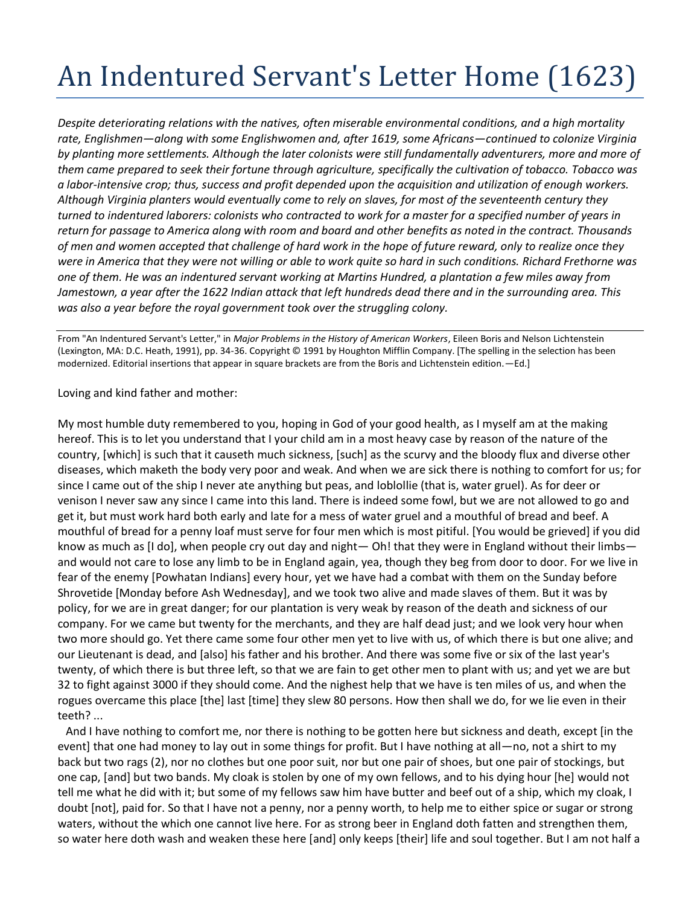## An Indentured Servant's Letter Home (1623)

*Despite deteriorating relations with the natives, often miserable environmental conditions, and a high mortality rate, Englishmen—along with some Englishwomen and, after 1619, some Africans—continued to colonize Virginia by planting more settlements. Although the later colonists were still fundamentally adventurers, more and more of them came prepared to seek their fortune through agriculture, specifically the cultivation of tobacco. Tobacco was a labor-intensive crop; thus, success and profit depended upon the acquisition and utilization of enough workers. Although Virginia planters would eventually come to rely on slaves, for most of the seventeenth century they turned to indentured laborers: colonists who contracted to work for a master for a specified number of years in return for passage to America along with room and board and other benefits as noted in the contract. Thousands of men and women accepted that challenge of hard work in the hope of future reward, only to realize once they were in America that they were not willing or able to work quite so hard in such conditions. Richard Frethorne was one of them. He was an indentured servant working at Martins Hundred, a plantation a few miles away from Jamestown, a year after the 1622 Indian attack that left hundreds dead there and in the surrounding area. This was also a year before the royal government took over the struggling colony.*

From "An Indentured Servant's Letter," in *Major Problems in the History of American Workers*, Eileen Boris and Nelson Lichtenstein (Lexington, MA: D.C. Heath, 1991), pp. 34-36. Copyright © 1991 by Houghton Mifflin Company. [The spelling in the selection has been modernized. Editorial insertions that appear in square brackets are from the Boris and Lichtenstein edition.—Ed.]

Loving and kind father and mother:

My most humble duty remembered to you, hoping in God of your good health, as I myself am at the making hereof. This is to let you understand that I your child am in a most heavy case by reason of the nature of the country, [which] is such that it causeth much sickness, [such] as the scurvy and the bloody flux and diverse other diseases, which maketh the body very poor and weak. And when we are sick there is nothing to comfort for us; for since I came out of the ship I never ate anything but peas, and loblollie (that is, water gruel). As for deer or venison I never saw any since I came into this land. There is indeed some fowl, but we are not allowed to go and get it, but must work hard both early and late for a mess of water gruel and a mouthful of bread and beef. A mouthful of bread for a penny loaf must serve for four men which is most pitiful. [You would be grieved] if you did know as much as [I do], when people cry out day and night— Oh! that they were in England without their limbs and would not care to lose any limb to be in England again, yea, though they beg from door to door. For we live in fear of the enemy [Powhatan Indians] every hour, yet we have had a combat with them on the Sunday before Shrovetide [Monday before Ash Wednesday], and we took two alive and made slaves of them. But it was by policy, for we are in great danger; for our plantation is very weak by reason of the death and sickness of our company. For we came but twenty for the merchants, and they are half dead just; and we look very hour when two more should go. Yet there came some four other men yet to live with us, of which there is but one alive; and our Lieutenant is dead, and [also] his father and his brother. And there was some five or six of the last year's twenty, of which there is but three left, so that we are fain to get other men to plant with us; and yet we are but 32 to fight against 3000 if they should come. And the nighest help that we have is ten miles of us, and when the rogues overcame this place [the] last [time] they slew 80 persons. How then shall we do, for we lie even in their teeth? ...

 And I have nothing to comfort me, nor there is nothing to be gotten here but sickness and death, except [in the event] that one had money to lay out in some things for profit. But I have nothing at all—no, not a shirt to my back but two rags (2), nor no clothes but one poor suit, nor but one pair of shoes, but one pair of stockings, but one cap, [and] but two bands. My cloak is stolen by one of my own fellows, and to his dying hour [he] would not tell me what he did with it; but some of my fellows saw him have butter and beef out of a ship, which my cloak, I doubt [not], paid for. So that I have not a penny, nor a penny worth, to help me to either spice or sugar or strong waters, without the which one cannot live here. For as strong beer in England doth fatten and strengthen them, so water here doth wash and weaken these here [and] only keeps [their] life and soul together. But I am not half a